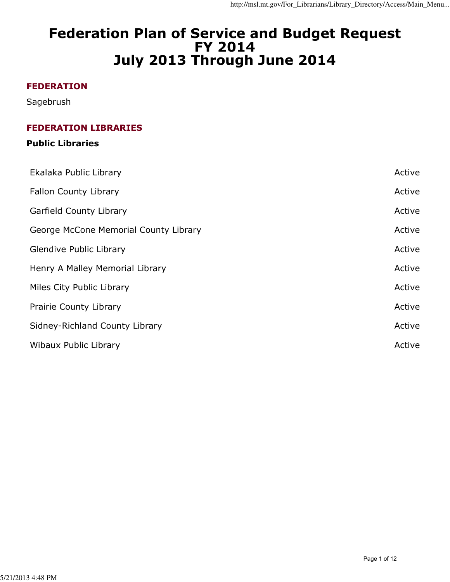# Federation Plan of Service and Budget Request FY 2014 July 2013 Through June 2014

## FEDERATION

Sagebrush

## FEDERATION LIBRARIES

## Public Libraries

| Ekalaka Public Library                | Active |
|---------------------------------------|--------|
| Fallon County Library                 | Active |
| <b>Garfield County Library</b>        | Active |
| George McCone Memorial County Library | Active |
| Glendive Public Library               | Active |
| Henry A Malley Memorial Library       | Active |
| Miles City Public Library             | Active |
| Prairie County Library                | Active |
| Sidney-Richland County Library        | Active |
| Wibaux Public Library                 | Active |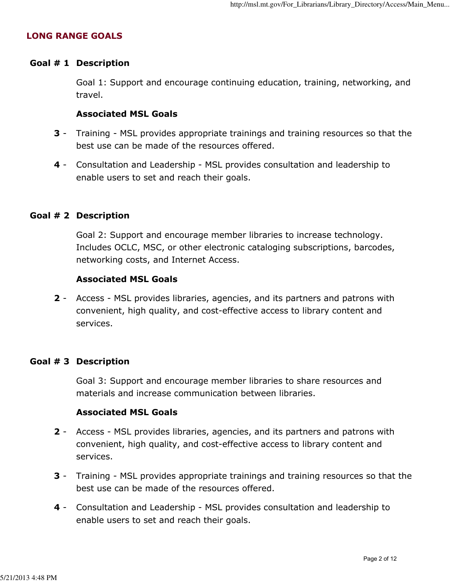## LONG RANGE GOALS

## Goal # 1 Description

 Goal 1: Support and encourage continuing education, training, networking, and travel.

#### Associated MSL Goals

- **3** Training MSL provides appropriate trainings and training resources so that the best use can be made of the resources offered.
- 4 Consultation and Leadership MSL provides consultation and leadership to enable users to set and reach their goals.

#### Goal # 2 Description

 Goal 2: Support and encourage member libraries to increase technology. Includes OCLC, MSC, or other electronic cataloging subscriptions, barcodes, networking costs, and Internet Access.

#### Associated MSL Goals

2 - Access - MSL provides libraries, agencies, and its partners and patrons with convenient, high quality, and cost-effective access to library content and services.

#### Goal # 3 Description

 Goal 3: Support and encourage member libraries to share resources and materials and increase communication between libraries.

## Associated MSL Goals

- 2 Access MSL provides libraries, agencies, and its partners and patrons with convenient, high quality, and cost-effective access to library content and services.
- **3** Training MSL provides appropriate trainings and training resources so that the best use can be made of the resources offered.
- 4 Consultation and Leadership MSL provides consultation and leadership to enable users to set and reach their goals.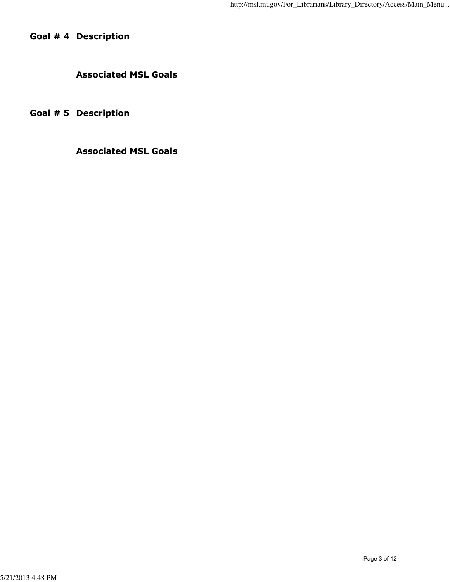Goal # 4 Description

Associated MSL Goals

Goal # 5 Description

Associated MSL Goals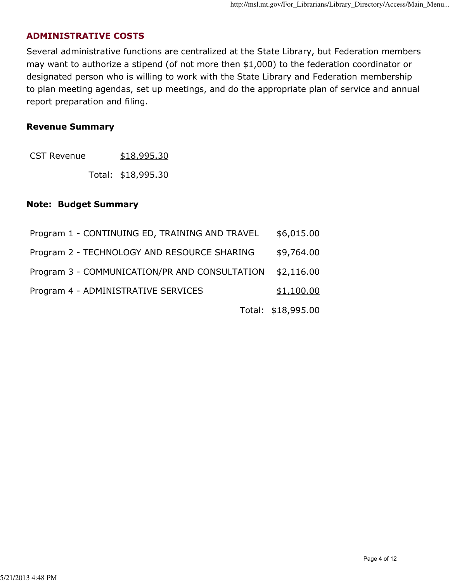## ADMINISTRATIVE COSTS

Several administrative functions are centralized at the State Library, but Federation members may want to authorize a stipend (of not more then \$1,000) to the federation coordinator or designated person who is willing to work with the State Library and Federation membership to plan meeting agendas, set up meetings, and do the appropriate plan of service and annual report preparation and filing.

#### Revenue Summary

Total: \$18,995.30

## Note: Budget Summary

| Program 1 - CONTINUING ED, TRAINING AND TRAVEL | \$6,015.00         |
|------------------------------------------------|--------------------|
| Program 2 - TECHNOLOGY AND RESOURCE SHARING    | \$9,764.00         |
| Program 3 - COMMUNICATION/PR AND CONSULTATION  | \$2,116.00         |
| Program 4 - ADMINISTRATIVE SERVICES            | \$1,100.00         |
|                                                | Total: \$18,995.00 |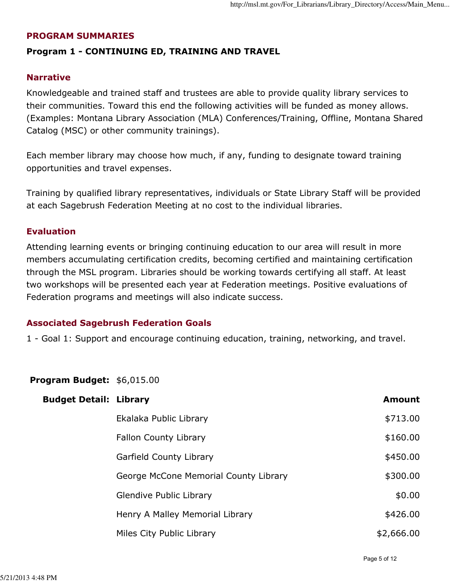## PROGRAM SUMMARIES

## Program 1 - CONTINUING ED, TRAINING AND TRAVEL

## Narrative

Knowledgeable and trained staff and trustees are able to provide quality library services to their communities. Toward this end the following activities will be funded as money allows. (Examples: Montana Library Association (MLA) Conferences/Training, Offline, Montana Shared Catalog (MSC) or other community trainings).

Each member library may choose how much, if any, funding to designate toward training opportunities and travel expenses.

Training by qualified library representatives, individuals or State Library Staff will be provided at each Sagebrush Federation Meeting at no cost to the individual libraries.

## Evaluation

Attending learning events or bringing continuing education to our area will result in more members accumulating certification credits, becoming certified and maintaining certification through the MSL program. Libraries should be working towards certifying all staff. At least two workshops will be presented each year at Federation meetings. Positive evaluations of Federation programs and meetings will also indicate success.

## Associated Sagebrush Federation Goals

1 - Goal 1: Support and encourage continuing education, training, networking, and travel.

## Program Budget: \$6,015.00

| <b>Budget Detail: Library</b> |                                       | <b>Amount</b> |
|-------------------------------|---------------------------------------|---------------|
|                               | Ekalaka Public Library                | \$713.00      |
|                               | <b>Fallon County Library</b>          | \$160.00      |
|                               | Garfield County Library               | \$450.00      |
|                               | George McCone Memorial County Library | \$300.00      |
|                               | <b>Glendive Public Library</b>        | \$0.00        |
|                               | Henry A Malley Memorial Library       | \$426.00      |
|                               | Miles City Public Library             | \$2,666.00    |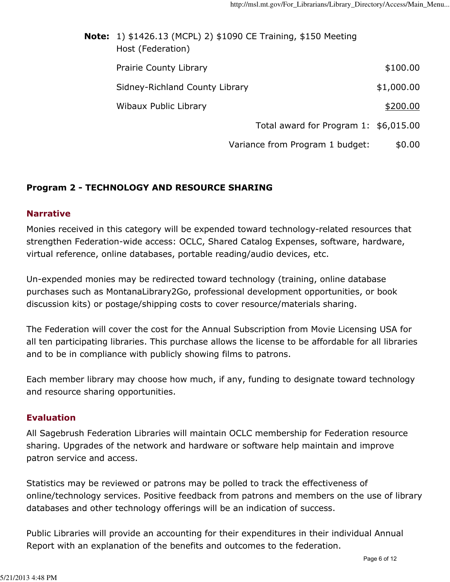| <b>Note:</b> 1) \$1426.13 (MCPL) 2) \$1090 CE Training, \$150 Meeting<br>Host (Federation) |                                       |            |
|--------------------------------------------------------------------------------------------|---------------------------------------|------------|
| <b>Prairie County Library</b>                                                              |                                       | \$100.00   |
| Sidney-Richland County Library                                                             |                                       | \$1,000.00 |
| Wibaux Public Library                                                                      |                                       | \$200.00   |
|                                                                                            | Total award for Program 1: \$6,015.00 |            |
|                                                                                            | Variance from Program 1 budget:       | \$0.00     |

## Program 2 - TECHNOLOGY AND RESOURCE SHARING

## Narrative

Monies received in this category will be expended toward technology-related resources that strengthen Federation-wide access: OCLC, Shared Catalog Expenses, software, hardware, virtual reference, online databases, portable reading/audio devices, etc.

Un-expended monies may be redirected toward technology (training, online database purchases such as MontanaLibrary2Go, professional development opportunities, or book discussion kits) or postage/shipping costs to cover resource/materials sharing.

The Federation will cover the cost for the Annual Subscription from Movie Licensing USA for all ten participating libraries. This purchase allows the license to be affordable for all libraries and to be in compliance with publicly showing films to patrons.

Each member library may choose how much, if any, funding to designate toward technology and resource sharing opportunities.

## **Evaluation**

All Sagebrush Federation Libraries will maintain OCLC membership for Federation resource sharing. Upgrades of the network and hardware or software help maintain and improve patron service and access.

Statistics may be reviewed or patrons may be polled to track the effectiveness of online/technology services. Positive feedback from patrons and members on the use of library databases and other technology offerings will be an indication of success.

Public Libraries will provide an accounting for their expenditures in their individual Annual Report with an explanation of the benefits and outcomes to the federation.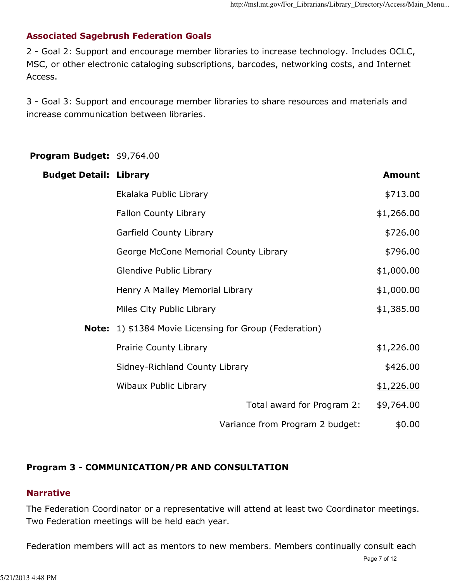## Associated Sagebrush Federation Goals

2 - Goal 2: Support and encourage member libraries to increase technology. Includes OCLC, MSC, or other electronic cataloging subscriptions, barcodes, networking costs, and Internet Access.

3 - Goal 3: Support and encourage member libraries to share resources and materials and increase communication between libraries.

## Program Budget: \$9,764.00

| <b>Budget Detail: Library</b> |                                                               |                                 | <b>Amount</b> |
|-------------------------------|---------------------------------------------------------------|---------------------------------|---------------|
|                               | Ekalaka Public Library                                        |                                 | \$713.00      |
|                               | <b>Fallon County Library</b>                                  |                                 | \$1,266.00    |
|                               | Garfield County Library                                       |                                 | \$726.00      |
|                               | George McCone Memorial County Library                         |                                 | \$796.00      |
|                               | Glendive Public Library                                       |                                 | \$1,000.00    |
|                               | Henry A Malley Memorial Library                               |                                 | \$1,000.00    |
|                               | Miles City Public Library                                     |                                 | \$1,385.00    |
|                               | <b>Note:</b> 1) \$1384 Movie Licensing for Group (Federation) |                                 |               |
|                               | Prairie County Library                                        |                                 | \$1,226.00    |
|                               | Sidney-Richland County Library                                |                                 | \$426.00      |
|                               | Wibaux Public Library                                         |                                 | \$1,226.00    |
|                               |                                                               | Total award for Program 2:      | \$9,764.00    |
|                               |                                                               | Variance from Program 2 budget: | \$0.00        |

## Program 3 - COMMUNICATION/PR AND CONSULTATION

## Narrative

The Federation Coordinator or a representative will attend at least two Coordinator meetings. Two Federation meetings will be held each year.

Federation members will act as mentors to new members. Members continually consult each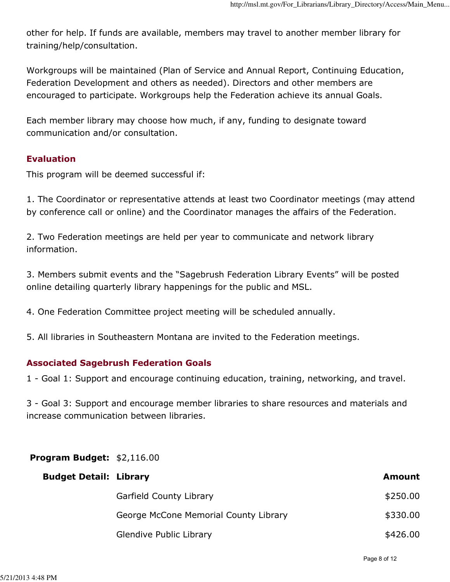other for help. If funds are available, members may travel to another member library for training/help/consultation.

Workgroups will be maintained (Plan of Service and Annual Report, Continuing Education, Federation Development and others as needed). Directors and other members are encouraged to participate. Workgroups help the Federation achieve its annual Goals.

Each member library may choose how much, if any, funding to designate toward communication and/or consultation.

## Evaluation

This program will be deemed successful if:

1. The Coordinator or representative attends at least two Coordinator meetings (may attend by conference call or online) and the Coordinator manages the affairs of the Federation.

2. Two Federation meetings are held per year to communicate and network library information.

3. Members submit events and the "Sagebrush Federation Library Events" will be posted online detailing quarterly library happenings for the public and MSL.

4. One Federation Committee project meeting will be scheduled annually.

5. All libraries in Southeastern Montana are invited to the Federation meetings.

## Associated Sagebrush Federation Goals

1 - Goal 1: Support and encourage continuing education, training, networking, and travel.

3 - Goal 3: Support and encourage member libraries to share resources and materials and increase communication between libraries.

## Program Budget: \$2,116.00

| <b>Budget Detail: Library</b> |                                       | <b>Amount</b> |
|-------------------------------|---------------------------------------|---------------|
|                               | Garfield County Library               | \$250.00      |
|                               | George McCone Memorial County Library | \$330.00      |
|                               | Glendive Public Library               | \$426.00      |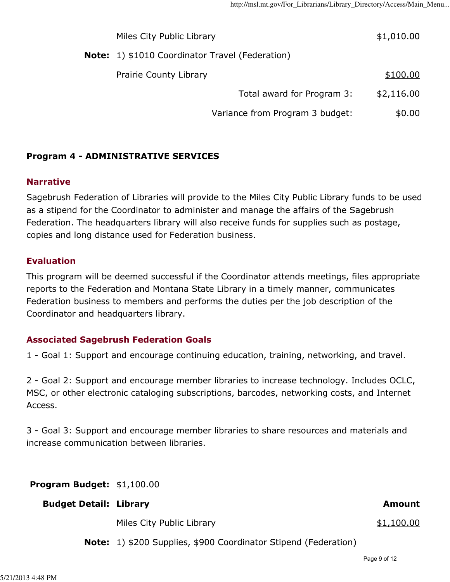| Miles City Public Library                              |                                 | \$1,010.00 |
|--------------------------------------------------------|---------------------------------|------------|
| <b>Note:</b> 1) \$1010 Coordinator Travel (Federation) |                                 |            |
| Prairie County Library                                 |                                 | \$100.00   |
|                                                        | Total award for Program 3:      | \$2,116.00 |
|                                                        | Variance from Program 3 budget: | \$0.00     |

## Program 4 - ADMINISTRATIVE SERVICES

## Narrative

Sagebrush Federation of Libraries will provide to the Miles City Public Library funds to be used as a stipend for the Coordinator to administer and manage the affairs of the Sagebrush Federation. The headquarters library will also receive funds for supplies such as postage, copies and long distance used for Federation business.

## Evaluation

This program will be deemed successful if the Coordinator attends meetings, files appropriate reports to the Federation and Montana State Library in a timely manner, communicates Federation business to members and performs the duties per the job description of the Coordinator and headquarters library.

## Associated Sagebrush Federation Goals

1 - Goal 1: Support and encourage continuing education, training, networking, and travel.

2 - Goal 2: Support and encourage member libraries to increase technology. Includes OCLC, MSC, or other electronic cataloging subscriptions, barcodes, networking costs, and Internet Access.

3 - Goal 3: Support and encourage member libraries to share resources and materials and increase communication between libraries.

Program Budget: \$1,100.00

## Budget Detail: Library and Amount and Amount and Amount and Amount and Amount and Amount

Miles City Public Library **\$1,100.00** 

Note: 1) \$200 Supplies, \$900 Coordinator Stipend (Federation)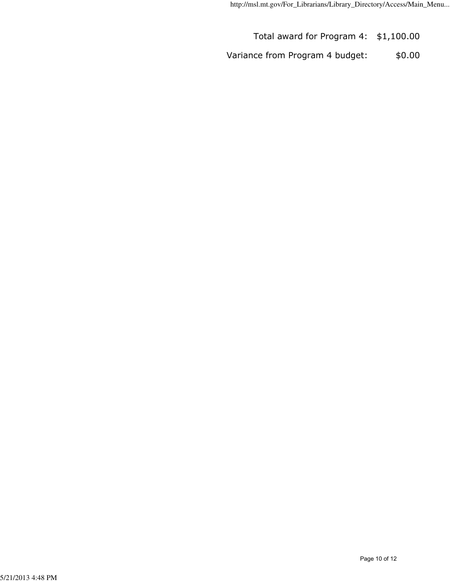Total award for Program 4: \$1,100.00

Variance from Program 4 budget: \$0.00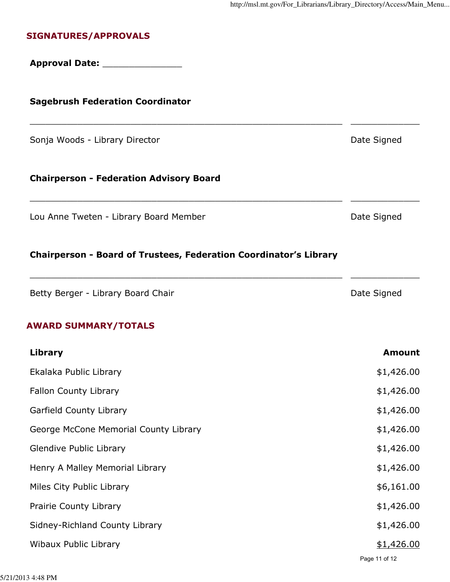## SIGNATURES/APPROVALS

## Approval Date: \_\_\_\_\_\_\_\_\_\_\_\_\_\_\_

## Sagebrush Federation Coordinator

Sonja Woods - Library Director **Date Signed** Date Signed

## Chairperson - Federation Advisory Board

Lou Anne Tweten - Library Board Member **Date Signed** Date Signed

#### Chairperson - Board of Trustees, Federation Coordinator's Library

Betty Berger - Library Board Chair **Date Signed** Date Signed

## AWARD SUMMARY/TOTALS

| Library                               | <b>Amount</b> |
|---------------------------------------|---------------|
| Ekalaka Public Library                | \$1,426.00    |
| Fallon County Library                 | \$1,426.00    |
| Garfield County Library               | \$1,426.00    |
| George McCone Memorial County Library | \$1,426.00    |
| Glendive Public Library               | \$1,426.00    |
| Henry A Malley Memorial Library       | \$1,426.00    |
| Miles City Public Library             | \$6,161.00    |
| <b>Prairie County Library</b>         | \$1,426.00    |
| Sidney-Richland County Library        | \$1,426.00    |
| Wibaux Public Library                 | \$1,426.00    |
|                                       | Page 11 of 12 |

\_\_\_\_\_\_\_\_\_\_\_\_\_\_\_\_\_\_\_\_\_\_\_\_\_\_\_\_\_\_\_\_\_\_\_\_\_\_\_\_\_\_\_\_\_\_\_\_\_\_\_\_\_\_\_\_\_\_\_ \_\_\_\_\_\_\_\_\_\_\_\_\_

\_\_\_\_\_\_\_\_\_\_\_\_\_\_\_\_\_\_\_\_\_\_\_\_\_\_\_\_\_\_\_\_\_\_\_\_\_\_\_\_\_\_\_\_\_\_\_\_\_\_\_\_\_\_\_\_\_\_\_ \_\_\_\_\_\_\_\_\_\_\_\_\_

\_\_\_\_\_\_\_\_\_\_\_\_\_\_\_\_\_\_\_\_\_\_\_\_\_\_\_\_\_\_\_\_\_\_\_\_\_\_\_\_\_\_\_\_\_\_\_\_\_\_\_\_\_\_\_\_\_\_\_ \_\_\_\_\_\_\_\_\_\_\_\_\_